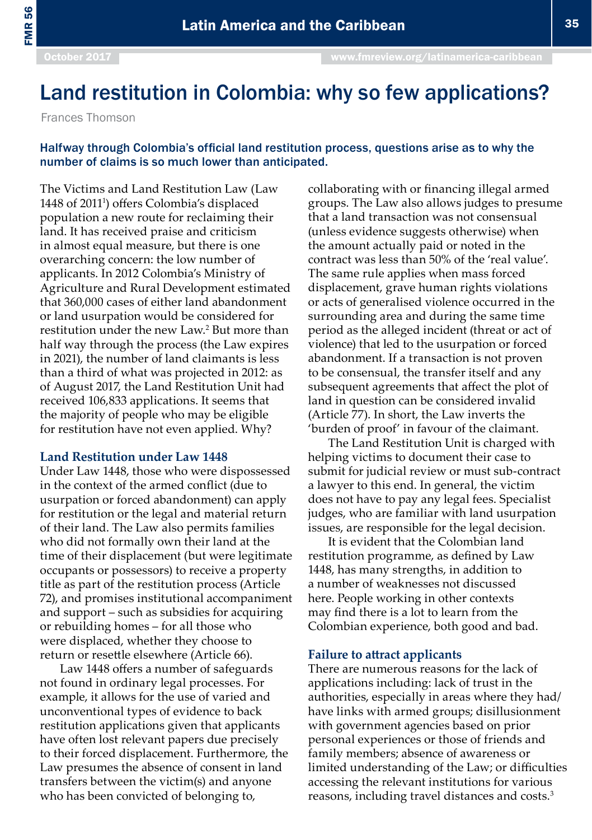# Land restitution in Colombia: why so few applications?

Frances Thomson

## Halfway through Colombia's official land restitution process, questions arise as to why the number of claims is so much lower than anticipated.

The Victims and Land Restitution Law (Law 1448 of 2011<sup>1</sup>) offers Colombia's displaced population a new route for reclaiming their land. It has received praise and criticism in almost equal measure, but there is one overarching concern: the low number of applicants. In 2012 Colombia's Ministry of Agriculture and Rural Development estimated that 360,000 cases of either land abandonment or land usurpation would be considered for restitution under the new Law.<sup>2</sup> But more than half way through the process (the Law expires in 2021), the number of land claimants is less than a third of what was projected in 2012: as of August 2017, the Land Restitution Unit had received 106,833 applications. It seems that the majority of people who may be eligible for restitution have not even applied. Why?

### **Land Restitution under Law 1448**

Under Law 1448, those who were dispossessed in the context of the armed conflict (due to usurpation or forced abandonment) can apply for restitution or the legal and material return of their land. The Law also permits families who did not formally own their land at the time of their displacement (but were legitimate occupants or possessors) to receive a property title as part of the restitution process (Article 72), and promises institutional accompaniment and support – such as subsidies for acquiring or rebuilding homes – for all those who were displaced, whether they choose to return or resettle elsewhere (Article 66).

Law 1448 offers a number of safeguards not found in ordinary legal processes. For example, it allows for the use of varied and unconventional types of evidence to back restitution applications given that applicants have often lost relevant papers due precisely to their forced displacement. Furthermore, the Law presumes the absence of consent in land transfers between the victim(s) and anyone who has been convicted of belonging to,

collaborating with or financing illegal armed groups. The Law also allows judges to presume that a land transaction was not consensual (unless evidence suggests otherwise) when the amount actually paid or noted in the contract was less than 50% of the 'real value'. The same rule applies when mass forced displacement, grave human rights violations or acts of generalised violence occurred in the surrounding area and during the same time period as the alleged incident (threat or act of violence) that led to the usurpation or forced abandonment. If a transaction is not proven to be consensual, the transfer itself and any subsequent agreements that affect the plot of land in question can be considered invalid (Article 77). In short, the Law inverts the 'burden of proof' in favour of the claimant.

The Land Restitution Unit is charged with helping victims to document their case to submit for judicial review or must sub-contract a lawyer to this end. In general, the victim does not have to pay any legal fees. Specialist judges, who are familiar with land usurpation issues, are responsible for the legal decision.

It is evident that the Colombian land restitution programme, as defined by Law 1448, has many strengths, in addition to a number of weaknesses not discussed here. People working in other contexts may find there is a lot to learn from the Colombian experience, both good and bad.

#### **Failure to attract applicants**

There are numerous reasons for the lack of applications including: lack of trust in the authorities, especially in areas where they had/ have links with armed groups; disillusionment with government agencies based on prior personal experiences or those of friends and family members; absence of awareness or limited understanding of the Law; or difficulties accessing the relevant institutions for various reasons, including travel distances and costs.3